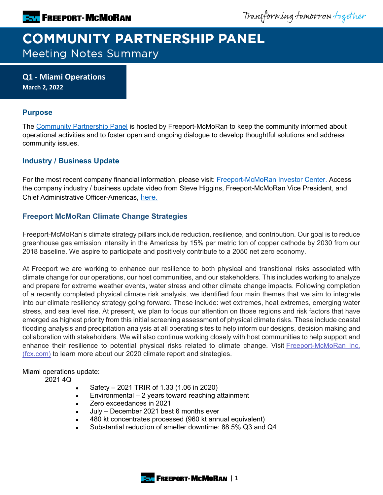Transforming tomorrow together

# **COMMUNITY PARTNERSHIP PANEL Meeting Notes Summary**

**Q1 - Miami Operations March 2, 2022**

### **Purpose**

The [Community Partnership Panel](https://www.freeportinmycommunity.com/stakeholders/stakeholder-engagement-) is hosted by Freeport-McMoRan to keep the community informed about operational activities and to foster open and ongoing dialogue to develop thoughtful solutions and address community issues.

## **Industry / Business Update**

For the most recent company financial information, please visit: [Freeport-McMoRan Investor Center.](http://investors.fcx.com/investors/default.aspx) Access the company industry / business update video from Steve Higgins, Freeport-McMoRan Vice President, and Chief Administrative Officer-Americas, [here.](https://fmi.hosted.panopto.com/Panopto/Pages/Viewer.aspx?id=ddb8f262-b718-47d5-861b-ae2b015a79a0)

## **Freeport McMoRan Climate Change Strategies**

Freeport-McMoRan's climate strategy pillars include reduction, resilience, and contribution. Our goal is to reduce greenhouse gas emission intensity in the Americas by 15% per metric ton of copper cathode by 2030 from our 2018 baseline. We aspire to participate and positively contribute to a 2050 net zero economy.

At Freeport we are working to enhance our resilience to both physical and transitional risks associated with climate change for our operations, our host communities, and our stakeholders. This includes working to analyze and prepare for extreme weather events, water stress and other climate change impacts. Following completion of a recently completed physical climate risk analysis, we identified four main themes that we aim to integrate into our climate resiliency strategy going forward. These include: wet extremes, heat extremes, emerging water stress, and sea level rise. At present, we plan to focus our attention on those regions and risk factors that have emerged as highest priority from this initial screening assessment of physical climate risks. These include coastal flooding analysis and precipitation analysis at all operating sites to help inform our designs, decision making and collaboration with stakeholders. We will also continue working closely with host communities to help support and enhance their resilience to potential physical risks related to climate change. Visit Freeport-McMoRan Inc. [\(fcx.com\)](https://www.fcx.com/sites/fcx/files/documents/sustainability/2020-Climate-Report.pdf) to learn more about our 2020 climate report and strategies.

#### Miami operations update:

2021 4Q

- Safety 2021 TRIR of 1.33 (1.06 in 2020)
- Environmental  $-2$  years toward reaching attainment
- Zero exceedances in 2021
- July December 2021 best 6 months ever
- 480 kt concentrates processed (960 kt annual equivalent)
- Substantial reduction of smelter downtime: 88.5% Q3 and Q4

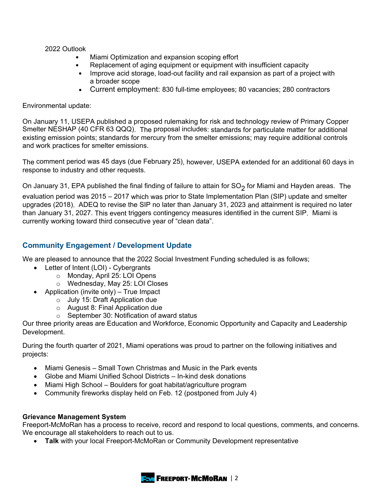#### 2022 Outlook

- Miami Optimization and expansion scoping effort
- Replacement of aging equipment or equipment with insufficient capacity
- Improve acid storage, load-out facility and rail expansion as part of a project with a broader scope
- Current employment: 830 full-time employees; 80 vacancies; 280 contractors

#### Environmental update:

On January 11, USEPA published a proposed rulemaking for risk and technology review of Primary Copper Smelter NESHAP (40 CFR 63 QQQ). The proposal includes: standards for particulate matter for additional existing emission points; standards for mercury from the smelter emissions; may require additional controls and work practices for smelter emissions.

The comment period was 45 days (due February 25), however, USEPA extended for an additional 60 days in response to industry and other requests.

On January 31, EPA published the final finding of failure to attain for  $SO<sub>2</sub>$  for Miami and Hayden areas. The evaluation period was 2015 – 2017 which was prior to State Implementation Plan (SIP) update and smelter upgrades (2018). ADEQ to revise the SIP no later than January 31, 2023 and attainment is required no later than January 31, 2027. This event triggers contingency measures identified in the current SIP. Miami is currently working toward third consecutive year of "clean data".

## **Community Engagement / Development Update**

We are pleased to announce that the 2022 Social Investment Funding scheduled is as follows;

- Letter of Intent (LOI) Cybergrants
	- o Monday, April 25: LOI Opens
	- o Wednesday, May 25: LOI Closes
- Application (invite only) True Impact
	- o July 15: Draft Application due
	- o August 8: Final Application due
	- o September 30: Notification of award status

Our three priority areas are Education and Workforce, Economic Opportunity and Capacity and Leadership Development.

During the fourth quarter of 2021, Miami operations was proud to partner on the following initiatives and projects:

- Miami Genesis Small Town Christmas and Music in the Park events
- Globe and Miami Unified School Districts In-kind desk donations
- Miami High School Boulders for goat habitat/agriculture program
- Community fireworks display held on Feb. 12 (postponed from July 4)

#### **Grievance Management System**

Freeport-McMoRan has a process to receive, record and respond to local questions, comments, and concerns. We encourage all stakeholders to reach out to us.

• **Talk** with your local Freeport-McMoRan or Community Development representative